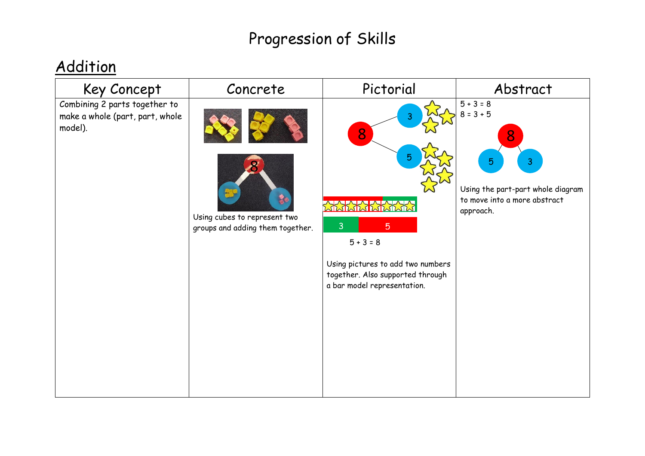### **Addition**

| Key Concept                                                                 | Concrete                                                         | Pictorial                                                                                                                                                                        | Abstract                                                                                                                     |
|-----------------------------------------------------------------------------|------------------------------------------------------------------|----------------------------------------------------------------------------------------------------------------------------------------------------------------------------------|------------------------------------------------------------------------------------------------------------------------------|
| Combining 2 parts together to<br>make a whole (part, part, whole<br>model). | Using cubes to represent two<br>groups and adding them together. | 3<br>8<br>5<br><b>XXXXXXXXXXXX</b><br>3<br>$\overline{5}$<br>$5 + 3 = 8$<br>Using pictures to add two numbers<br>together. Also supported through<br>a bar model representation. | $5 + 3 = 8$<br>$8 = 3 + 5$<br>8<br>3<br>5.<br>Using the part-part whole diagram<br>to move into a more abstract<br>approach. |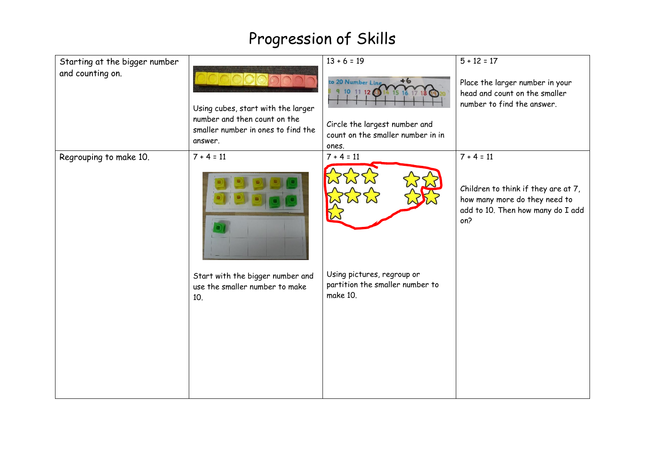| Starting at the bigger number |                                                                                                                     | $13 + 6 = 19$                                                                                                                           | $5 + 12 = 17$                                                                                                    |
|-------------------------------|---------------------------------------------------------------------------------------------------------------------|-----------------------------------------------------------------------------------------------------------------------------------------|------------------------------------------------------------------------------------------------------------------|
| and counting on.              | Using cubes, start with the larger<br>number and then count on the<br>smaller number in ones to find the<br>answer. | to 20 Number Line<br>$+6$<br>9 10 11 12 3 14 15 16 17 18<br>Circle the largest number and<br>count on the smaller number in in<br>ones. | Place the larger number in your<br>head and count on the smaller<br>number to find the answer.                   |
| Regrouping to make 10.        | $7 + 4 = 11$                                                                                                        | $7 + 4 = 11$                                                                                                                            | $7 + 4 = 11$                                                                                                     |
|                               |                                                                                                                     |                                                                                                                                         | Children to think if they are at 7,<br>how many more do they need to<br>add to 10. Then how many do I add<br>on? |
|                               | Start with the bigger number and<br>use the smaller number to make<br>10.                                           | Using pictures, regroup or<br>partition the smaller number to<br>make 10.                                                               |                                                                                                                  |
|                               |                                                                                                                     |                                                                                                                                         |                                                                                                                  |
|                               |                                                                                                                     |                                                                                                                                         |                                                                                                                  |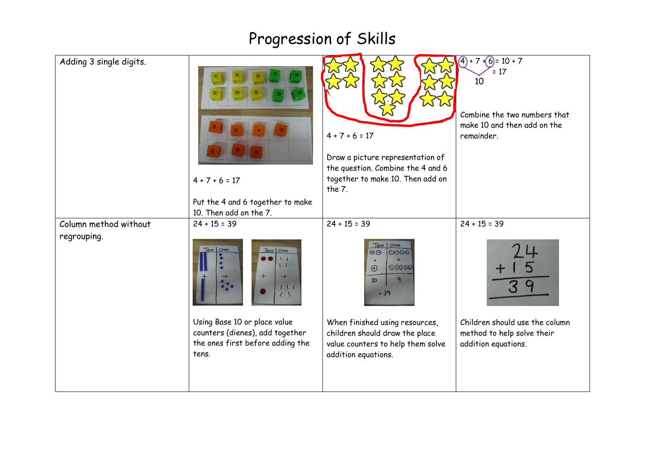| Adding 3 single digits. | $4 + 7 + 6 = 17$<br>Put the 4 and 6 together to make<br>10. Then add on the 7.                               | $4 + 7 + 6 = 17$<br>Draw a picture representation of<br>the question. Combine the 4 and 6<br>together to make 10. Then add on<br>the $7.$ | $+7+(6)=10+7$<br>⋒<br>$= 17$<br>10<br>Combine the two numbers that<br>make 10 and then add on the<br>remainder. |
|-------------------------|--------------------------------------------------------------------------------------------------------------|-------------------------------------------------------------------------------------------------------------------------------------------|-----------------------------------------------------------------------------------------------------------------|
| Column method without   | $24 + 15 = 39$                                                                                               | $24 + 15 = 39$                                                                                                                            | $24 + 15 = 39$                                                                                                  |
| regrouping.             | Tens Ones<br>Tens   Ones<br>11<br>LL<br>$+$<br>$^{+}$<br>$1\ 1\ 1$<br>1 <sup>1</sup>                         | Ones<br>Tens<br>$\odot$<br>0000<br>$\ddot{}$<br>00000<br>$\circledcirc$<br>9<br>30<br>$= 39$                                              |                                                                                                                 |
|                         | Using Base 10 or place value<br>counters (dienes), add together<br>the ones first before adding the<br>tens. | When finished using resources,<br>children should draw the place<br>value counters to help them solve<br>addition equations.              | Children should use the column<br>method to help solve their<br>addition equations.                             |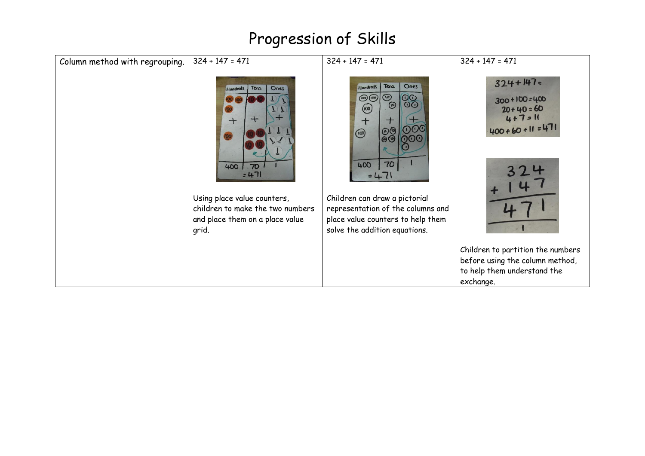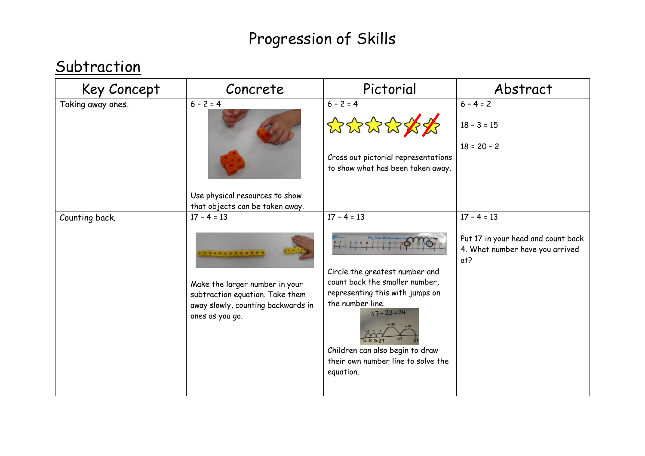#### **Subtraction**

| Key Concept       | Concrete                                                                                                                                                                                                               | Pictorial                                                                                                                                                                                                                                        | Abstract                                                                                      |
|-------------------|------------------------------------------------------------------------------------------------------------------------------------------------------------------------------------------------------------------------|--------------------------------------------------------------------------------------------------------------------------------------------------------------------------------------------------------------------------------------------------|-----------------------------------------------------------------------------------------------|
| Taking away ones. | $6 - 2 = 4$<br>Use physical resources to show                                                                                                                                                                          | $6 - 2 = 4$<br>公众公众众众<br>Cross out pictorial representations<br>to show what has been taken away.                                                                                                                                                | $6 - 4 = 2$<br>$18 - 3 = 15$<br>$18 = 20 - 2$                                                 |
| Counting back.    | that objects can be taken away.<br>$17 - 4 = 13$<br>(a) a) a) a) a) a) a) a) a) a) a) a)<br>Make the larger number in your<br>subtraction equation. Take them<br>away slowly, counting backwards in<br>ones as you go. | $17 - 4 = 13$<br>Circle the greatest number and<br>count back the smaller number,<br>representing this with jumps on<br>the number line.<br>$57 - 23 = 34$<br>Children can also begin to draw<br>their own number line to solve the<br>equation. | $17 - 4 = 13$<br>Put 17 in your head and count back<br>4. What number have you arrived<br>at? |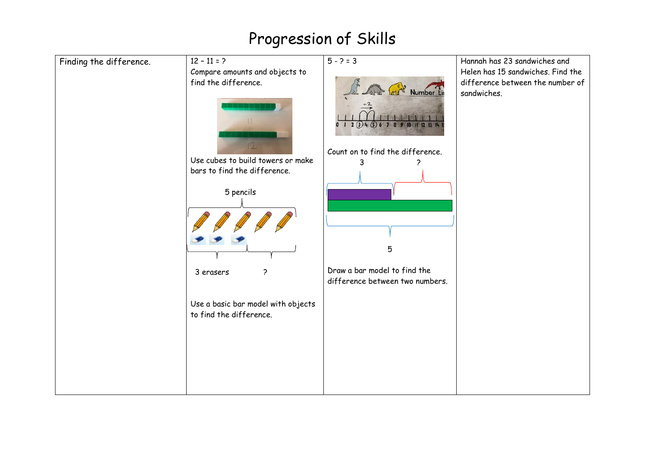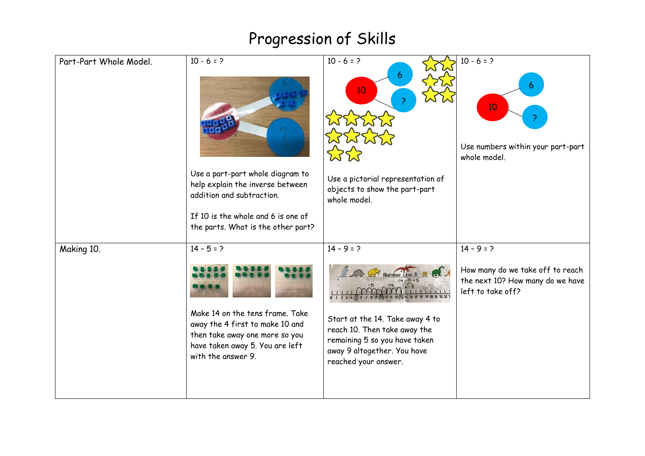| Part-Part Whole Model. | $10 - 6 = ?$                                                                                                                                                  | $10 - 6 = ?$<br>6<br>10                                                                                                                                 | $10 - 6 = 2$<br>6<br>10                                                                   |
|------------------------|---------------------------------------------------------------------------------------------------------------------------------------------------------------|---------------------------------------------------------------------------------------------------------------------------------------------------------|-------------------------------------------------------------------------------------------|
|                        |                                                                                                                                                               | ****                                                                                                                                                    | Use numbers within your part-part<br>whole model.                                         |
|                        | Use a part-part whole diagram to<br>help explain the inverse between<br>addition and subtraction.                                                             | Use a pictorial representation of<br>objects to show the part-part<br>whole model.                                                                      |                                                                                           |
|                        | If 10 is the whole and 6 is one of<br>the parts. What is the other part?                                                                                      |                                                                                                                                                         |                                                                                           |
| Making 10.             | $14 - 5 = ?$                                                                                                                                                  | $14 - 9 = ?$                                                                                                                                            | $14 - 9 = ?$                                                                              |
|                        |                                                                                                                                                               | Number Line                                                                                                                                             | How many do we take off to reach<br>the next 10? How many do we have<br>left to take off? |
|                        | Make 14 on the tens frame. Take<br>away the 4 first to make 10 and<br>then take away one more so you<br>have taken away 5. You are left<br>with the answer 9. | Start at the 14. Take away 4 to<br>reach 10. Then take away the<br>remaining 5 so you have taken<br>away 9 altogether. You have<br>reached your answer. |                                                                                           |
|                        |                                                                                                                                                               |                                                                                                                                                         |                                                                                           |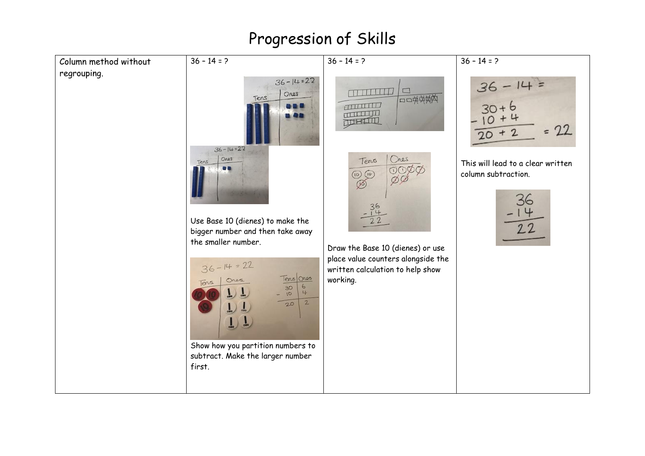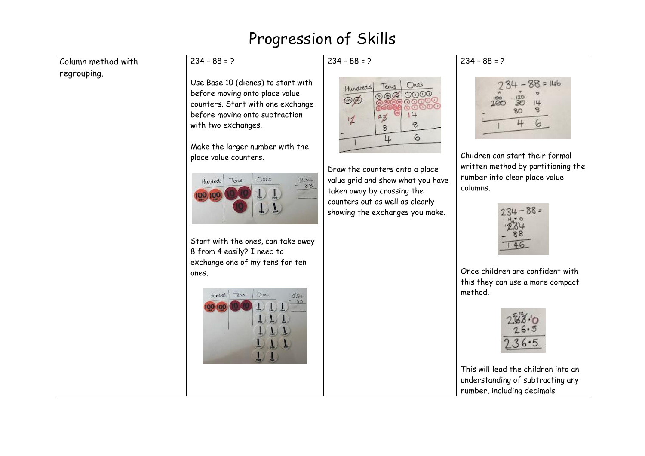| Column method with | $234 - 88 = ?$                                                                                                                                                                                                                                                                                                                                                                                                                              | $234 - 88 = ?$                                                                                                                                                                                                                                                                                                                                   | $234 - 88 = ?$                                                                                                                                                                                                                                                                                                                                                            |
|--------------------|---------------------------------------------------------------------------------------------------------------------------------------------------------------------------------------------------------------------------------------------------------------------------------------------------------------------------------------------------------------------------------------------------------------------------------------------|--------------------------------------------------------------------------------------------------------------------------------------------------------------------------------------------------------------------------------------------------------------------------------------------------------------------------------------------------|---------------------------------------------------------------------------------------------------------------------------------------------------------------------------------------------------------------------------------------------------------------------------------------------------------------------------------------------------------------------------|
| regrouping.        | Use Base 10 (dienes) to start with<br>before moving onto place value<br>counters. Start with one exchange<br>before moving onto subtraction<br>with two exchanges.<br>Make the larger number with the<br>place value counters.<br>Ores<br>$234$<br>$88$<br>Tens<br>Hundreds<br>00 100<br>Start with the ones, can take away<br>8 from 4 easily? I need to<br>exchange one of my tens for ten<br>ones.<br>Ores<br>Hundreds<br>Tens<br>00 100 | Ores<br>Tens<br>Hundreds<br>$\circledcirc\circledcirc$<br>$\circledcirc$<br>$\circledcirc$<br>രരയ<br>00000<br>14<br>123<br>$\frac{1}{2}$<br>8<br>8<br>$\epsilon$<br>4<br>Draw the counters onto a place<br>value grid and show what you have<br>taken away by crossing the<br>counters out as well as clearly<br>showing the exchanges you make. | $88 = 146$<br>30<br>80<br>6<br>4<br>Children can start their formal<br>written method by partitioning the<br>number into clear place value<br>columns.<br>$234 - 88 =$<br>46<br>Once children are confident with<br>this they can use a more compact<br>method.<br>This will lead the children into an<br>understanding of subtracting any<br>number, including decimals. |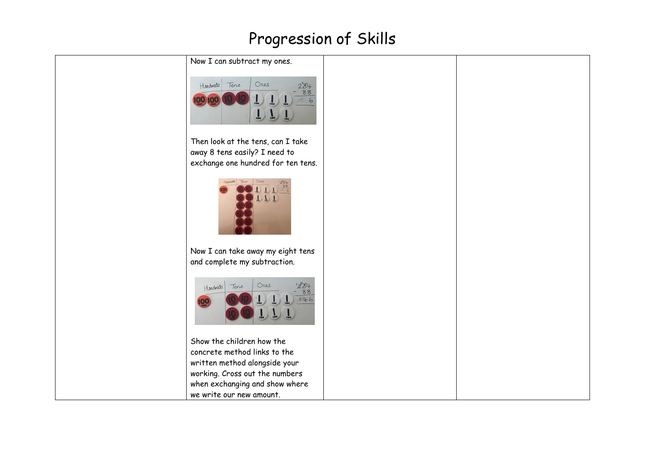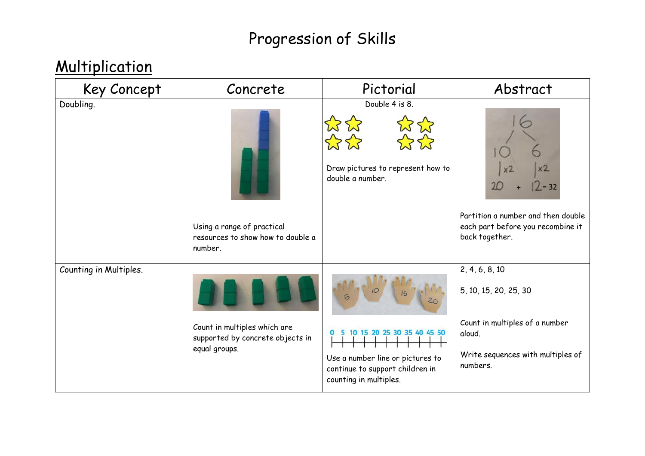### **Multiplication**

| Key Concept            | Concrete                                                                          | Pictorial                                                                                                                   | Abstract                                                                                  |
|------------------------|-----------------------------------------------------------------------------------|-----------------------------------------------------------------------------------------------------------------------------|-------------------------------------------------------------------------------------------|
| Doubling.              |                                                                                   | Double 4 is 8.<br>Draw pictures to represent how to<br>double a number.                                                     | $= 32$                                                                                    |
|                        | Using a range of practical<br>resources to show how to double a<br>number.        |                                                                                                                             | Partition a number and then double<br>each part before you recombine it<br>back together. |
| Counting in Multiples. |                                                                                   | $\sqrt{2}$                                                                                                                  | 2, 4, 6, 8, 10<br>5, 10, 15, 20, 25, 30                                                   |
|                        | Count in multiples which are<br>supported by concrete objects in<br>equal groups. | 10 15 20 25 30 35 40 45 50<br>Use a number line or pictures to<br>continue to support children in<br>counting in multiples. | Count in multiples of a number<br>aloud.<br>Write sequences with multiples of<br>numbers. |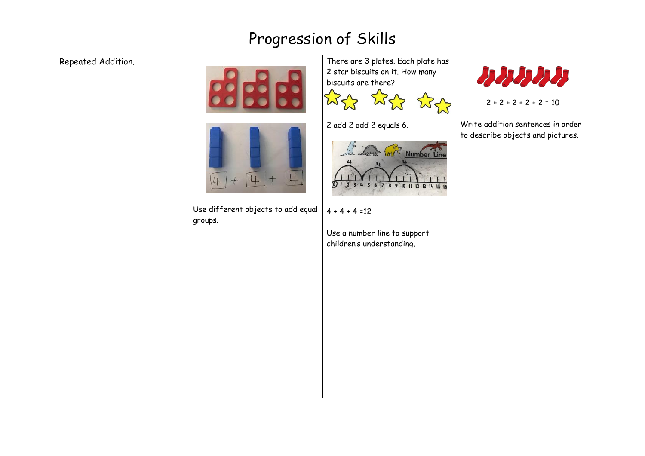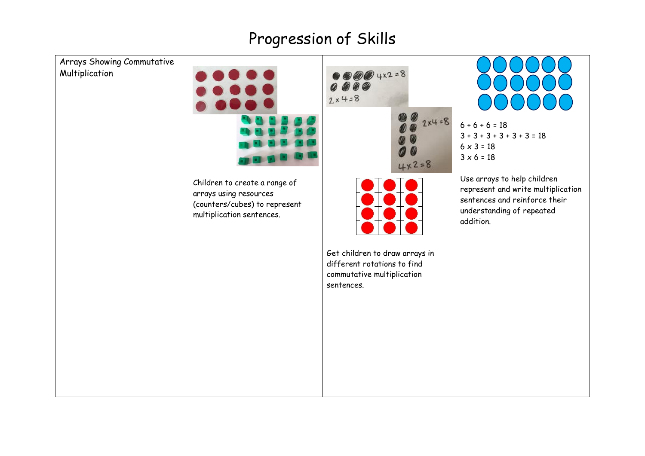



 $\n *②②②*\n  $4x^2 = 8$$  $0000$ 



Get children to draw arrays in different rotations to find commutative multiplication

 $6 + 6 + 6 = 18$  $3 + 3 + 3 + 3 + 3 + 3 = 18$  $6 \times 3 = 18$  $3 \times 6 = 18$ 

Use arrays to help children represent and write multiplication sentences and reinforce their understanding of repeated addition.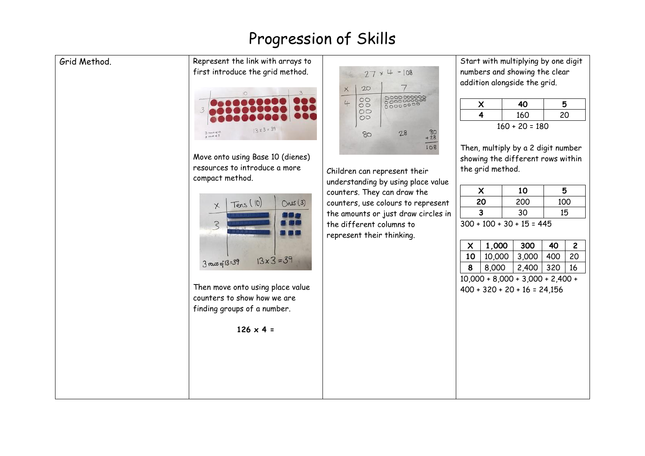#### Grid Method. Represent the link with arrays to

first introduce the grid method.



Move onto using Base 10 (dienes) resources to introduce a more compact method.



Then move onto using place value counters to show how we are finding groups of a number.

 $126 \times 4 =$ 

| Х | 20                                                  |                                      |
|---|-----------------------------------------------------|--------------------------------------|
|   | $\circ\circ$<br>$\circ$<br>$\circ \circ$<br>$\circ$ | 0000000000<br>0000000000<br>00000000 |
|   | 80                                                  | $80 + 28$<br>28                      |

Children can represent their understanding by using place value counters. They can draw the counters, use colours to represent the amounts or just draw circles in the different columns to represent their thinking.

Start with multiplying by one digit numbers and showing the clear addition alongside the grid.

|                | 40  | 5  |  |
|----------------|-----|----|--|
|                | 160 | 20 |  |
| $1/0.20 - 100$ |     |    |  |

160 + 20 = 180

Then, multiply by a 2 digit number showing the different rows within the grid method.

| X                     | 10  | 5   |  |
|-----------------------|-----|-----|--|
| 20                    | 200 | 100 |  |
| 3                     | 30  | 15  |  |
| $200.100.20.15 - 115$ |     |     |  |

300 + 100 + 30 + 15 = 445

|    | 1,000  | 300   | 40  |    |
|----|--------|-------|-----|----|
| 10 | 10,000 | 3,000 | 400 | 20 |
| 8  | 8,000  | 2,400 | 320 | 16 |

10,000 + 8,000 + 3,000 + 2,400 + 400 + 320 + 20 + 16 = 24,156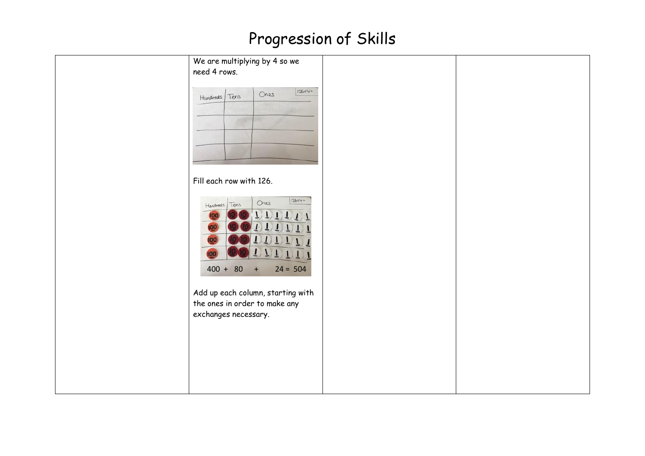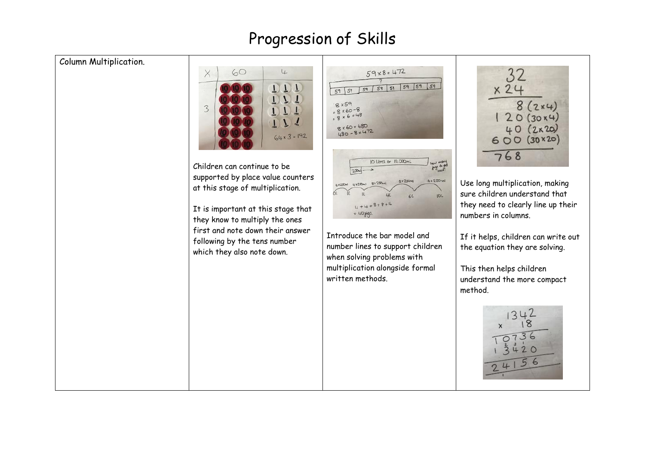#### Column Multiplication.



Children can continue to be supported by place value counters at this stage of multiplication.

It is important at this stage that they know to multiply the ones first and note down their answer following by the tens number which they also note down.



Introduce the bar model and number lines to support children when solving problems with multiplication alongside formal written methods.

32  $x24$  $8(2x4)$  $120(30x4)$  $40(2x20)$  $600(30×20)$  $768$ 

Use long multiplication, making sure children understand that they need to clearly line up their numbers in columns.

If it helps, children can write out the equation they are solving.

This then helps children understand the more compact method.

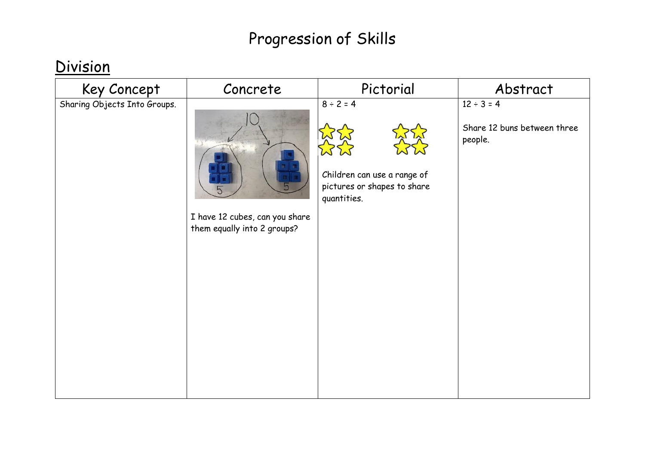#### **Division**

| Key Concept                  | Concrete                                                           | Pictorial                                                                                   | Abstract                                                  |
|------------------------------|--------------------------------------------------------------------|---------------------------------------------------------------------------------------------|-----------------------------------------------------------|
| Sharing Objects Into Groups. | 5<br>I have 12 cubes, can you share<br>them equally into 2 groups? | $8 \div 2 = 4$<br>Children can use a range of<br>pictures or shapes to share<br>quantities. | $12 \div 3 = 4$<br>Share 12 buns between three<br>people. |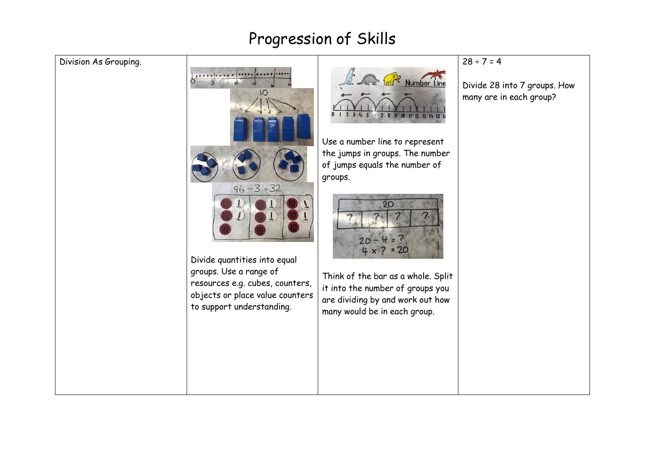#### Division As Grouping.



groups. Use a range of resources e.g. cubes, counters, objects or place value counters to support understanding.



Use a number line to represent the jumps in groups. The number of jumps equals the number of groups.

# $20$  $4x7$  $= 20$

Think of the bar as a whole. Split it into the number of groups you are dividing by and work out how many would be in each group.

#### $28 \div 7 = 4$

Divide 28 into 7 groups. How many are in each group?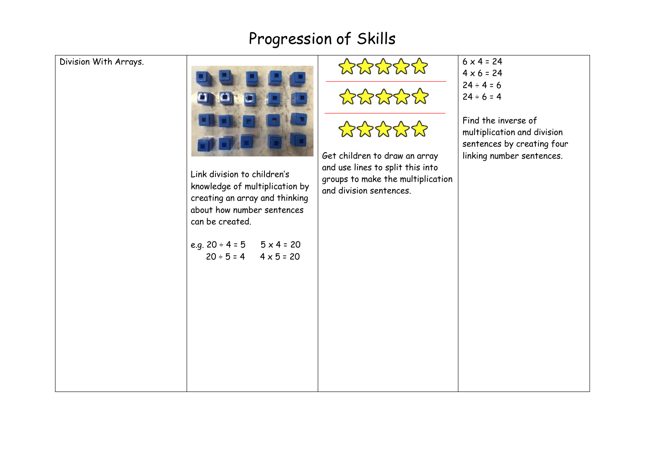#### Division With

| ith Arrays. | Link division to children's<br>knowledge of multiplication by<br>creating an array and thinking<br>about how number sentences<br>can be created.<br>e.g. $20 \div 4 = 5$ $5 \times 4 = 20$<br>$20 \div 5 = 4$ $4 \times 5 = 20$ | *****<br>*****<br>*****<br>Get children to draw an array<br>and use lines to split this into<br>groups to make the multiplication<br>and division sentences. | $6 \times 4 = 24$<br>$4 \times 6 = 24$<br>$24 \div 4 = 6$<br>$24 \div 6 = 4$<br>Find the inverse of<br>multiplication and division<br>sentences by creating four<br>linking number sentences. |
|-------------|---------------------------------------------------------------------------------------------------------------------------------------------------------------------------------------------------------------------------------|--------------------------------------------------------------------------------------------------------------------------------------------------------------|-----------------------------------------------------------------------------------------------------------------------------------------------------------------------------------------------|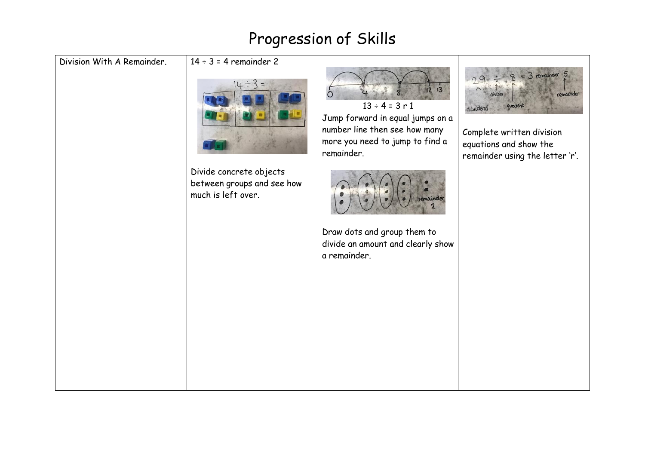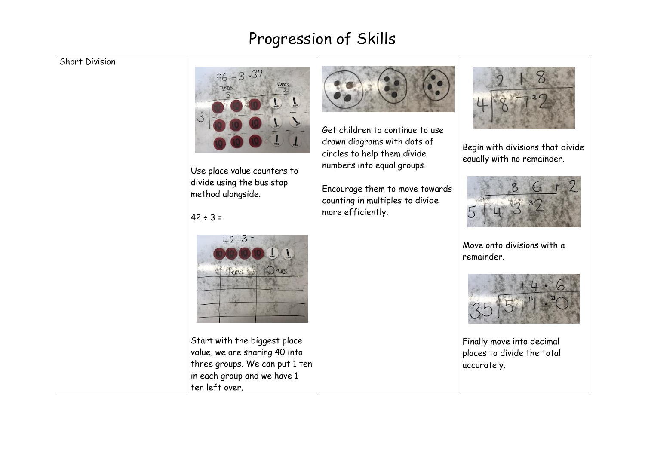#### Short Division



Use place value counters to divide using the bus stop method alongside.

#### $42 \div 3 =$



Start with the biggest place value, we are sharing 40 into three groups. We can put 1 ten in each group and we have 1 ten left over.



Get children to continue to use drawn diagrams with dots of circles to help them divide numbers into equal groups.

Encourage them to move towards counting in multiples to divide more efficiently.



Begin with divisions that divide equally with no remainder.



Move onto divisions with a remainder.



Finally move into decimal places to divide the total accurately.